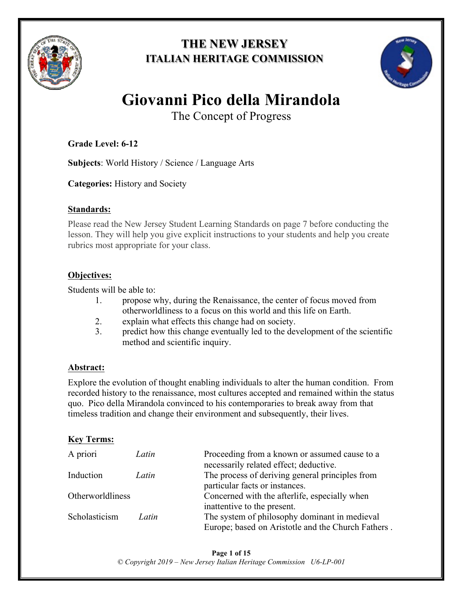

## **THE NEW JERSEY ITALIAN HERITAGE COMMISSION**



# **Giovanni Pico della Mirandola**

The Concept of Progress

## **Grade Level: 6-12**

**Subjects**: World History / Science / Language Arts

**Categories:** History and Society

### **Standards:**

Please read the New Jersey Student Learning Standards on page 7 before conducting the lesson. They will help you give explicit instructions to your students and help you create rubrics most appropriate for your class.

## **Objectives:**

Students will be able to:

- 1. propose why, during the Renaissance, the center of focus moved from otherworldliness to a focus on this world and this life on Earth.
- 2. explain what effects this change had on society.
- 3. predict how this change eventually led to the development of the scientific method and scientific inquiry.

## **Abstract:**

Explore the evolution of thought enabling individuals to alter the human condition. From recorded history to the renaissance, most cultures accepted and remained within the status quo. Pico della Mirandola convinced to his contemporaries to break away from that timeless tradition and change their environment and subsequently, their lives.

## **Key Terms:**

| A priori         | Latin | Proceeding from a known or assumed cause to a<br>necessarily related effect; deductive. |
|------------------|-------|-----------------------------------------------------------------------------------------|
| Induction        | Latin | The process of deriving general principles from                                         |
| Otherworldliness |       | particular facts or instances.<br>Concerned with the afterlife, especially when         |
|                  |       | inattentive to the present.                                                             |
| Scholasticism    | Latin | The system of philosophy dominant in medieval                                           |
|                  |       | Europe; based on Aristotle and the Church Fathers.                                      |

**Page 1 of 15** *© Copyright 2019 – New Jersey Italian Heritage Commission U6-LP-001*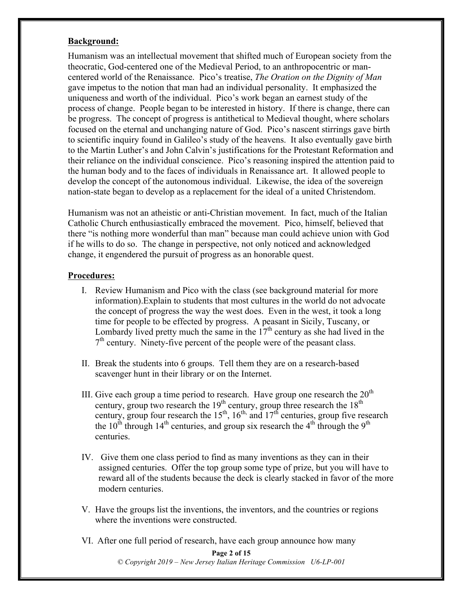#### **Background:**

Humanism was an intellectual movement that shifted much of European society from the theocratic, God-centered one of the Medieval Period, to an anthropocentric or mancentered world of the Renaissance. Pico's treatise, *The Oration on the Dignity of Man*  gave impetus to the notion that man had an individual personality. It emphasized the uniqueness and worth of the individual. Pico's work began an earnest study of the process of change. People began to be interested in history. If there is change, there can be progress. The concept of progress is antithetical to Medieval thought, where scholars focused on the eternal and unchanging nature of God. Pico's nascent stirrings gave birth to scientific inquiry found in Galileo's study of the heavens. It also eventually gave birth to the Martin Luther's and John Calvin's justifications for the Protestant Reformation and their reliance on the individual conscience. Pico's reasoning inspired the attention paid to the human body and to the faces of individuals in Renaissance art. It allowed people to develop the concept of the autonomous individual. Likewise, the idea of the sovereign nation-state began to develop as a replacement for the ideal of a united Christendom.

Humanism was not an atheistic or anti-Christian movement. In fact, much of the Italian Catholic Church enthusiastically embraced the movement. Pico, himself, believed that there "is nothing more wonderful than man" because man could achieve union with God if he wills to do so. The change in perspective, not only noticed and acknowledged change, it engendered the pursuit of progress as an honorable quest.

#### **Procedures:**

- I. Review Humanism and Pico with the class (see background material for more information).Explain to students that most cultures in the world do not advocate the concept of progress the way the west does. Even in the west, it took a long time for people to be effected by progress. A peasant in Sicily, Tuscany, or Lombardy lived pretty much the same in the  $17<sup>th</sup>$  century as she had lived in the  $7<sup>th</sup>$  century. Ninety-five percent of the people were of the peasant class.
- II. Break the students into 6 groups. Tell them they are on a research-based scavenger hunt in their library or on the Internet.
- III. Give each group a time period to research. Have group one research the  $20<sup>th</sup>$ century, group two research the  $19<sup>th</sup>$  century, group three research the  $18<sup>th</sup>$ century, group four research the  $15<sup>th</sup>$ ,  $16<sup>th</sup>$ , and  $17<sup>th</sup>$  centuries, group five research the  $10^{th}$  through  $14^{th}$  centuries, and group six research the  $4^{th}$  through the  $9^{th}$ centuries.
- IV. Give them one class period to find as many inventions as they can in their assigned centuries. Offer the top group some type of prize, but you will have to reward all of the students because the deck is clearly stacked in favor of the more modern centuries.
- V. Have the groups list the inventions, the inventors, and the countries or regions where the inventions were constructed.
- VI. After one full period of research, have each group announce how many

#### **Page 2 of 15**

*© Copyright 2019 – New Jersey Italian Heritage Commission U6-LP-001*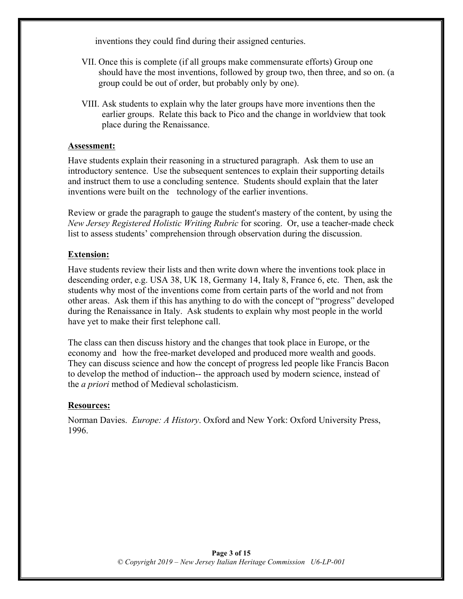inventions they could find during their assigned centuries.

- VII. Once this is complete (if all groups make commensurate efforts) Group one should have the most inventions, followed by group two, then three, and so on. (a group could be out of order, but probably only by one).
- VIII. Ask students to explain why the later groups have more inventions then the earlier groups. Relate this back to Pico and the change in worldview that took place during the Renaissance.

#### **Assessment:**

Have students explain their reasoning in a structured paragraph. Ask them to use an introductory sentence. Use the subsequent sentences to explain their supporting details and instruct them to use a concluding sentence. Students should explain that the later inventions were built on the technology of the earlier inventions.

Review or grade the paragraph to gauge the student's mastery of the content, by using the *New Jersey Registered Holistic Writing Rubric* for scoring. Or, use a teacher-made check list to assess students' comprehension through observation during the discussion.

#### **Extension:**

Have students review their lists and then write down where the inventions took place in descending order, e.g. USA 38, UK 18, Germany 14, Italy 8, France 6, etc. Then, ask the students why most of the inventions come from certain parts of the world and not from other areas. Ask them if this has anything to do with the concept of "progress" developed during the Renaissance in Italy. Ask students to explain why most people in the world have yet to make their first telephone call.

The class can then discuss history and the changes that took place in Europe, or the economy and how the free-market developed and produced more wealth and goods. They can discuss science and how the concept of progress led people like Francis Bacon to develop the method of induction-- the approach used by modern science, instead of the *a priori* method of Medieval scholasticism.

#### **Resources:**

Norman Davies. *Europe: A History*. Oxford and New York: Oxford University Press, 1996.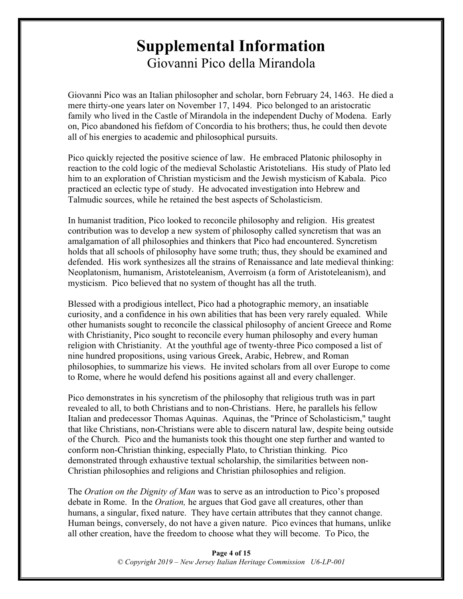# **Supplemental Information** Giovanni Pico della Mirandola

Giovanni Pico was an Italian philosopher and scholar, born February 24, 1463. He died a mere thirty-one years later on November 17, 1494. Pico belonged to an aristocratic family who lived in the Castle of Mirandola in the independent Duchy of Modena. Early on, Pico abandoned his fiefdom of Concordia to his brothers; thus, he could then devote all of his energies to academic and philosophical pursuits.

Pico quickly rejected the positive science of law. He embraced Platonic philosophy in reaction to the cold logic of the medieval Scholastic Aristotelians. His study of Plato led him to an exploration of Christian mysticism and the Jewish mysticism of Kabala. Pico practiced an eclectic type of study. He advocated investigation into Hebrew and Talmudic sources, while he retained the best aspects of Scholasticism.

In humanist tradition, Pico looked to reconcile philosophy and religion. His greatest contribution was to develop a new system of philosophy called syncretism that was an amalgamation of all philosophies and thinkers that Pico had encountered. Syncretism holds that all schools of philosophy have some truth; thus, they should be examined and defended. His work synthesizes all the strains of Renaissance and late medieval thinking: Neoplatonism, humanism, Aristoteleanism, Averroism (a form of Aristoteleanism), and mysticism. Pico believed that no system of thought has all the truth.

Blessed with a prodigious intellect, Pico had a photographic memory, an insatiable curiosity, and a confidence in his own abilities that has been very rarely equaled. While other humanists sought to reconcile the classical philosophy of ancient Greece and Rome with Christianity, Pico sought to reconcile every human philosophy and every human religion with Christianity. At the youthful age of twenty-three Pico composed a list of nine hundred propositions, using various Greek, Arabic, Hebrew, and Roman philosophies, to summarize his views. He invited scholars from all over Europe to come to Rome, where he would defend his positions against all and every challenger.

Pico demonstrates in his syncretism of the philosophy that religious truth was in part revealed to all, to both Christians and to non-Christians. Here, he parallels his fellow Italian and predecessor Thomas Aquinas. Aquinas, the "Prince of Scholasticism," taught that like Christians, non-Christians were able to discern natural law, despite being outside of the Church. Pico and the humanists took this thought one step further and wanted to conform non-Christian thinking, especially Plato, to Christian thinking. Pico demonstrated through exhaustive textual scholarship, the similarities between non-Christian philosophies and religions and Christian philosophies and religion.

The *Oration on the Dignity of Man* was to serve as an introduction to Pico's proposed debate in Rome. In the *Oration,* he argues that God gave all creatures, other than humans, a singular, fixed nature. They have certain attributes that they cannot change. Human beings, conversely, do not have a given nature. Pico evinces that humans, unlike all other creation, have the freedom to choose what they will become. To Pico, the

> **Page 4 of 15** *© Copyright 2019 – New Jersey Italian Heritage Commission U6-LP-001*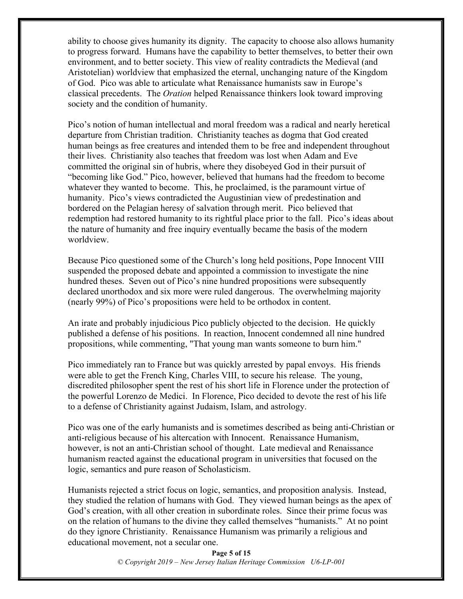ability to choose gives humanity its dignity. The capacity to choose also allows humanity to progress forward. Humans have the capability to better themselves, to better their own environment, and to better society. This view of reality contradicts the Medieval (and Aristotelian) worldview that emphasized the eternal, unchanging nature of the Kingdom of God. Pico was able to articulate what Renaissance humanists saw in Europe's classical precedents. The *Oration* helped Renaissance thinkers look toward improving society and the condition of humanity.

Pico's notion of human intellectual and moral freedom was a radical and nearly heretical departure from Christian tradition. Christianity teaches as dogma that God created human beings as free creatures and intended them to be free and independent throughout their lives. Christianity also teaches that freedom was lost when Adam and Eve committed the original sin of hubris, where they disobeyed God in their pursuit of "becoming like God." Pico, however, believed that humans had the freedom to become whatever they wanted to become. This, he proclaimed, is the paramount virtue of humanity. Pico's views contradicted the Augustinian view of predestination and bordered on the Pelagian heresy of salvation through merit. Pico believed that redemption had restored humanity to its rightful place prior to the fall. Pico's ideas about the nature of humanity and free inquiry eventually became the basis of the modern worldview.

Because Pico questioned some of the Church's long held positions, Pope Innocent VIII suspended the proposed debate and appointed a commission to investigate the nine hundred theses. Seven out of Pico's nine hundred propositions were subsequently declared unorthodox and six more were ruled dangerous. The overwhelming majority (nearly 99%) of Pico's propositions were held to be orthodox in content.

An irate and probably injudicious Pico publicly objected to the decision. He quickly published a defense of his positions. In reaction, Innocent condemned all nine hundred propositions, while commenting, "That young man wants someone to burn him."

Pico immediately ran to France but was quickly arrested by papal envoys. His friends were able to get the French King, Charles VIII, to secure his release. The young, discredited philosopher spent the rest of his short life in Florence under the protection of the powerful Lorenzo de Medici. In Florence, Pico decided to devote the rest of his life to a defense of Christianity against Judaism, Islam, and astrology.

Pico was one of the early humanists and is sometimes described as being anti-Christian or anti-religious because of his altercation with Innocent. Renaissance Humanism, however, is not an anti-Christian school of thought. Late medieval and Renaissance humanism reacted against the educational program in universities that focused on the logic, semantics and pure reason of Scholasticism.

Humanists rejected a strict focus on logic, semantics, and proposition analysis. Instead, they studied the relation of humans with God. They viewed human beings as the apex of God's creation, with all other creation in subordinate roles. Since their prime focus was on the relation of humans to the divine they called themselves "humanists." At no point do they ignore Christianity. Renaissance Humanism was primarily a religious and educational movement, not a secular one.

> **Page 5 of 15** *© Copyright 2019 – New Jersey Italian Heritage Commission U6-LP-001*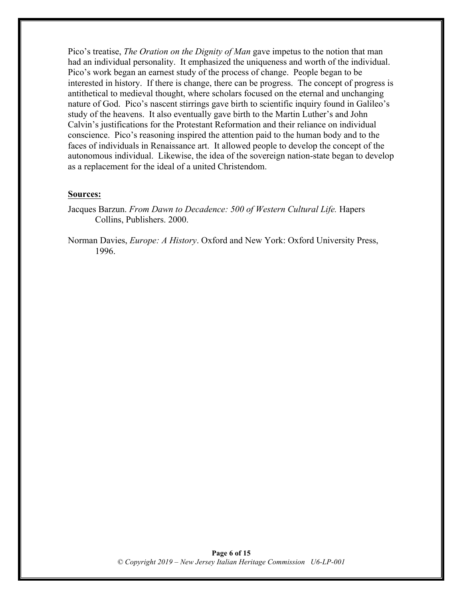Pico's treatise, *The Oration on the Dignity of Man* gave impetus to the notion that man had an individual personality. It emphasized the uniqueness and worth of the individual. Pico's work began an earnest study of the process of change. People began to be interested in history. If there is change, there can be progress. The concept of progress is antithetical to medieval thought, where scholars focused on the eternal and unchanging nature of God. Pico's nascent stirrings gave birth to scientific inquiry found in Galileo's study of the heavens. It also eventually gave birth to the Martin Luther's and John Calvin's justifications for the Protestant Reformation and their reliance on individual conscience. Pico's reasoning inspired the attention paid to the human body and to the faces of individuals in Renaissance art. It allowed people to develop the concept of the autonomous individual. Likewise, the idea of the sovereign nation-state began to develop as a replacement for the ideal of a united Christendom.

#### **Sources:**

- Jacques Barzun. *From Dawn to Decadence: 500 of Western Cultural Life.* Hapers Collins, Publishers. 2000.
- Norman Davies, *Europe: A History*. Oxford and New York: Oxford University Press, 1996.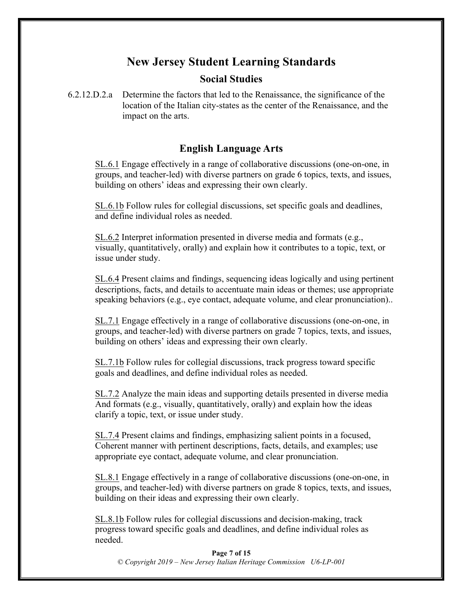## **New Jersey Student Learning Standards**

### **Social Studies**

6.2.12.D.2.a Determine the factors that led to the Renaissance, the significance of the location of the Italian city-states as the center of the Renaissance, and the impact on the arts.

## **English Language Arts**

SL.6.1 Engage effectively in a range of collaborative discussions (one-on-one, in groups, and teacher-led) with diverse partners on grade 6 topics, texts, and issues, building on others' ideas and expressing their own clearly.

SL.6.1b Follow rules for collegial discussions, set specific goals and deadlines, and define individual roles as needed.

SL.6.2 Interpret information presented in diverse media and formats (e.g., visually, quantitatively, orally) and explain how it contributes to a topic, text, or issue under study.

SL.6.4 Present claims and findings, sequencing ideas logically and using pertinent descriptions, facts, and details to accentuate main ideas or themes; use appropriate speaking behaviors (e.g., eye contact, adequate volume, and clear pronunciation)..

SL.7.1 Engage effectively in a range of collaborative discussions (one-on-one, in groups, and teacher-led) with diverse partners on grade 7 topics, texts, and issues, building on others' ideas and expressing their own clearly.

SL.7.1b Follow rules for collegial discussions, track progress toward specific goals and deadlines, and define individual roles as needed.

SL.7.2 Analyze the main ideas and supporting details presented in diverse media And formats (e.g., visually, quantitatively, orally) and explain how the ideas clarify a topic, text, or issue under study.

SL.7.4 Present claims and findings, emphasizing salient points in a focused, Coherent manner with pertinent descriptions, facts, details, and examples; use appropriate eye contact, adequate volume, and clear pronunciation.

SL.8.1 Engage effectively in a range of collaborative discussions (one-on-one, in groups, and teacher-led) with diverse partners on grade 8 topics, texts, and issues, building on their ideas and expressing their own clearly.

SL.8.1b Follow rules for collegial discussions and decision-making, track progress toward specific goals and deadlines, and define individual roles as needed.

**Page 7 of 15** *© Copyright 2019 – New Jersey Italian Heritage Commission U6-LP-001*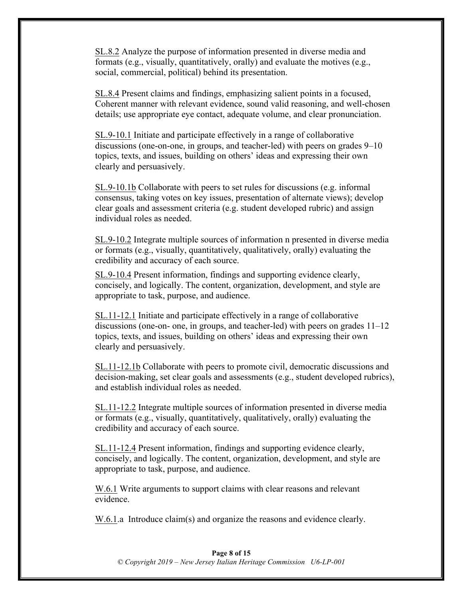SL.8.2 Analyze the purpose of information presented in diverse media and formats (e.g., visually, quantitatively, orally) and evaluate the motives (e.g., social, commercial, political) behind its presentation.

SL.8.4 Present claims and findings, emphasizing salient points in a focused, Coherent manner with relevant evidence, sound valid reasoning, and well-chosen details; use appropriate eye contact, adequate volume, and clear pronunciation.

SL.9-10.1 Initiate and participate effectively in a range of collaborative discussions (one-on-one, in groups, and teacher-led) with peers on grades 9–10 topics, texts, and issues, building on others' ideas and expressing their own clearly and persuasively.

SL.9-10.1b Collaborate with peers to set rules for discussions (e.g. informal consensus, taking votes on key issues, presentation of alternate views); develop clear goals and assessment criteria (e.g. student developed rubric) and assign individual roles as needed.

SL.9-10.2 Integrate multiple sources of information n presented in diverse media or formats (e.g., visually, quantitatively, qualitatively, orally) evaluating the credibility and accuracy of each source.

SL.9-10.4 Present information, findings and supporting evidence clearly, concisely, and logically. The content, organization, development, and style are appropriate to task, purpose, and audience.

SL.11-12.1 Initiate and participate effectively in a range of collaborative discussions (one-on- one, in groups, and teacher-led) with peers on grades 11–12 topics, texts, and issues, building on others' ideas and expressing their own clearly and persuasively.

SL.11-12.1b Collaborate with peers to promote civil, democratic discussions and decision-making, set clear goals and assessments (e.g., student developed rubrics), and establish individual roles as needed.

SL.11-12.2 Integrate multiple sources of information presented in diverse media or formats (e.g., visually, quantitatively, qualitatively, orally) evaluating the credibility and accuracy of each source.

SL.11-12.4 Present information, findings and supporting evidence clearly, concisely, and logically. The content, organization, development, and style are appropriate to task, purpose, and audience.

W.6.1 Write arguments to support claims with clear reasons and relevant evidence.

W.6.1.a Introduce claim(s) and organize the reasons and evidence clearly.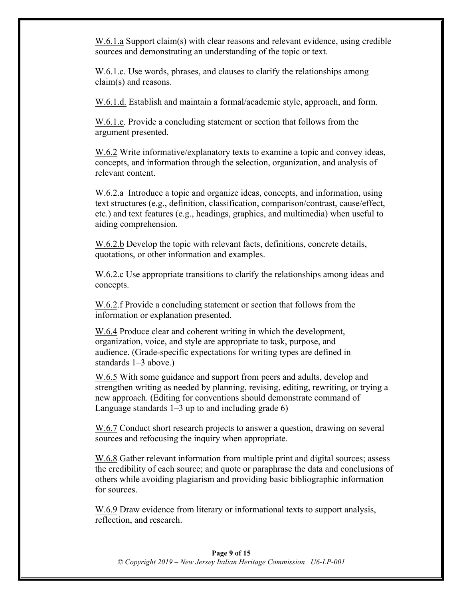W.6.1.a Support claim(s) with clear reasons and relevant evidence, using credible sources and demonstrating an understanding of the topic or text.

W.6.1.c. Use words, phrases, and clauses to clarify the relationships among claim(s) and reasons.

W.6.1.d. Establish and maintain a formal/academic style, approach, and form.

W.6.1.e. Provide a concluding statement or section that follows from the argument presented.

W.6.2 Write informative/explanatory texts to examine a topic and convey ideas, concepts, and information through the selection, organization, and analysis of relevant content.

W.6.2.a Introduce a topic and organize ideas, concepts, and information, using text structures (e.g., definition, classification, comparison/contrast, cause/effect, etc.) and text features (e.g., headings, graphics, and multimedia) when useful to aiding comprehension.

W.6.2.b Develop the topic with relevant facts, definitions, concrete details, quotations, or other information and examples.

W.6.2.c Use appropriate transitions to clarify the relationships among ideas and concepts.

W.6.2.f Provide a concluding statement or section that follows from the information or explanation presented.

W.6.4 Produce clear and coherent writing in which the development, organization, voice, and style are appropriate to task, purpose, and audience. (Grade-specific expectations for writing types are defined in standards 1–3 above.)

W.6.5 With some guidance and support from peers and adults, develop and strengthen writing as needed by planning, revising, editing, rewriting, or trying a new approach. (Editing for conventions should demonstrate command of Language standards  $1-3$  up to and including grade 6)

W.6.7 Conduct short research projects to answer a question, drawing on several sources and refocusing the inquiry when appropriate.

W.6.8 Gather relevant information from multiple print and digital sources; assess the credibility of each source; and quote or paraphrase the data and conclusions of others while avoiding plagiarism and providing basic bibliographic information for sources.

W.6.9 Draw evidence from literary or informational texts to support analysis, reflection, and research.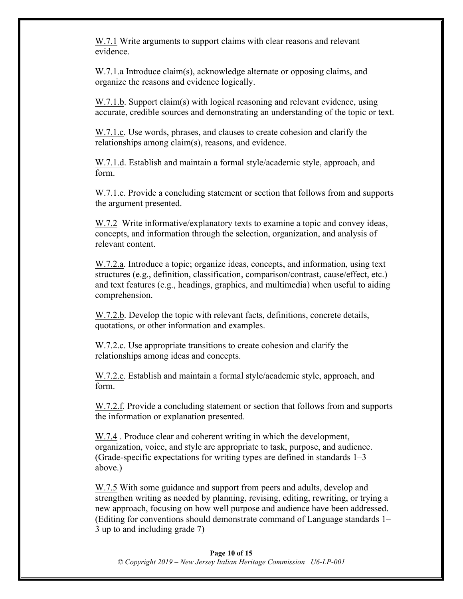W.7.1 Write arguments to support claims with clear reasons and relevant evidence.

W.7.1.a Introduce claim(s), acknowledge alternate or opposing claims, and organize the reasons and evidence logically.

W.7.1.b. Support claim(s) with logical reasoning and relevant evidence, using accurate, credible sources and demonstrating an understanding of the topic or text.

W.7.1.c. Use words, phrases, and clauses to create cohesion and clarify the relationships among claim(s), reasons, and evidence.

W.7.1.d. Establish and maintain a formal style/academic style, approach, and form.

W.7.1.e. Provide a concluding statement or section that follows from and supports the argument presented.

W.7.2 Write informative/explanatory texts to examine a topic and convey ideas, concepts, and information through the selection, organization, and analysis of relevant content.

W.7.2.a. Introduce a topic; organize ideas, concepts, and information, using text structures (e.g., definition, classification, comparison/contrast, cause/effect, etc.) and text features (e.g., headings, graphics, and multimedia) when useful to aiding comprehension.

W.7.2.b. Develop the topic with relevant facts, definitions, concrete details, quotations, or other information and examples.

W.7.2.c. Use appropriate transitions to create cohesion and clarify the relationships among ideas and concepts.

W.7.2.e. Establish and maintain a formal style/academic style, approach, and form.

W.7.2.f. Provide a concluding statement or section that follows from and supports the information or explanation presented.

W.7.4 . Produce clear and coherent writing in which the development, organization, voice, and style are appropriate to task, purpose, and audience. (Grade-specific expectations for writing types are defined in standards 1–3 above.)

W.7.5 With some guidance and support from peers and adults, develop and strengthen writing as needed by planning, revising, editing, rewriting, or trying a new approach, focusing on how well purpose and audience have been addressed. (Editing for conventions should demonstrate command of Language standards 1– 3 up to and including grade 7)

#### **Page 10 of 15** *© Copyright 2019 – New Jersey Italian Heritage Commission U6-LP-001*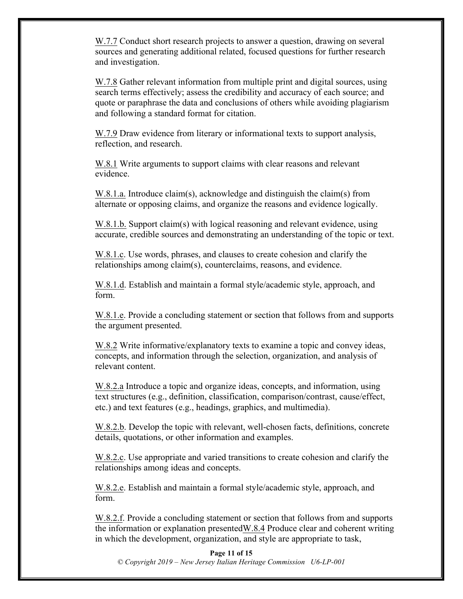W.7.7 Conduct short research projects to answer a question, drawing on several sources and generating additional related, focused questions for further research and investigation.

W.7.8 Gather relevant information from multiple print and digital sources, using search terms effectively; assess the credibility and accuracy of each source; and quote or paraphrase the data and conclusions of others while avoiding plagiarism and following a standard format for citation.

W.7.9 Draw evidence from literary or informational texts to support analysis, reflection, and research.

W.8.1 Write arguments to support claims with clear reasons and relevant evidence.

W.8.1.a. Introduce claim(s), acknowledge and distinguish the claim(s) from alternate or opposing claims, and organize the reasons and evidence logically.

W.8.1.b. Support claim(s) with logical reasoning and relevant evidence, using accurate, credible sources and demonstrating an understanding of the topic or text.

W.8.1.c. Use words, phrases, and clauses to create cohesion and clarify the relationships among claim(s), counterclaims, reasons, and evidence.

W.8.1.d. Establish and maintain a formal style/academic style, approach, and form.

W.8.1.e. Provide a concluding statement or section that follows from and supports the argument presented.

W.8.2 Write informative/explanatory texts to examine a topic and convey ideas, concepts, and information through the selection, organization, and analysis of relevant content.

W.8.2.a Introduce a topic and organize ideas, concepts, and information, using text structures (e.g., definition, classification, comparison/contrast, cause/effect, etc.) and text features (e.g., headings, graphics, and multimedia).

W.8.2.b. Develop the topic with relevant, well-chosen facts, definitions, concrete details, quotations, or other information and examples.

W.8.2.c. Use appropriate and varied transitions to create cohesion and clarify the relationships among ideas and concepts.

W.8.2.e. Establish and maintain a formal style/academic style, approach, and form.

W.8.2.f. Provide a concluding statement or section that follows from and supports the information or explanation presentedW.8.4 Produce clear and coherent writing in which the development, organization, and style are appropriate to task,

#### **Page 11 of 15**

*© Copyright 2019 – New Jersey Italian Heritage Commission U6-LP-001*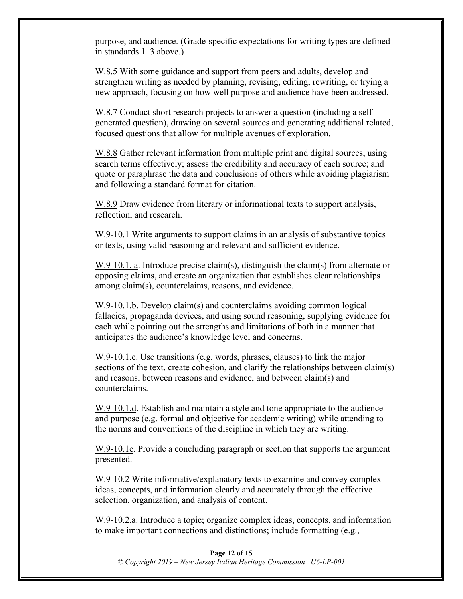purpose, and audience. (Grade-specific expectations for writing types are defined in standards 1–3 above.)

W.8.5 With some guidance and support from peers and adults, develop and strengthen writing as needed by planning, revising, editing, rewriting, or trying a new approach, focusing on how well purpose and audience have been addressed.

W.8.7 Conduct short research projects to answer a question (including a selfgenerated question), drawing on several sources and generating additional related, focused questions that allow for multiple avenues of exploration.

W.8.8 Gather relevant information from multiple print and digital sources, using search terms effectively; assess the credibility and accuracy of each source; and quote or paraphrase the data and conclusions of others while avoiding plagiarism and following a standard format for citation.

W.8.9 Draw evidence from literary or informational texts to support analysis, reflection, and research.

W.9-10.1 Write arguments to support claims in an analysis of substantive topics or texts, using valid reasoning and relevant and sufficient evidence.

W.9-10.1. a. Introduce precise claim(s), distinguish the claim(s) from alternate or opposing claims, and create an organization that establishes clear relationships among claim(s), counterclaims, reasons, and evidence.

W.9-10.1.b. Develop claim(s) and counterclaims avoiding common logical fallacies, propaganda devices, and using sound reasoning, supplying evidence for each while pointing out the strengths and limitations of both in a manner that anticipates the audience's knowledge level and concerns.

W.9-10.1.c. Use transitions (e.g. words, phrases, clauses) to link the major sections of the text, create cohesion, and clarify the relationships between claim(s) and reasons, between reasons and evidence, and between claim(s) and counterclaims.

W.9-10.1.d. Establish and maintain a style and tone appropriate to the audience and purpose (e.g. formal and objective for academic writing) while attending to the norms and conventions of the discipline in which they are writing.

W.9-10.1e. Provide a concluding paragraph or section that supports the argument presented.

W.9-10.2 Write informative/explanatory texts to examine and convey complex ideas, concepts, and information clearly and accurately through the effective selection, organization, and analysis of content.

W.9-10.2.a. Introduce a topic; organize complex ideas, concepts, and information to make important connections and distinctions; include formatting (e.g.,

#### **Page 12 of 15** *© Copyright 2019 – New Jersey Italian Heritage Commission U6-LP-001*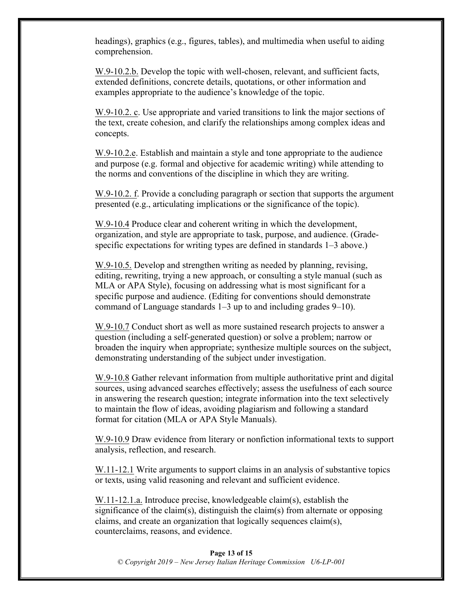headings), graphics (e.g., figures, tables), and multimedia when useful to aiding comprehension.

W.9-10.2.b. Develop the topic with well-chosen, relevant, and sufficient facts, extended definitions, concrete details, quotations, or other information and examples appropriate to the audience's knowledge of the topic.

W.9-10.2. c. Use appropriate and varied transitions to link the major sections of the text, create cohesion, and clarify the relationships among complex ideas and concepts.

W.9-10.2.e. Establish and maintain a style and tone appropriate to the audience and purpose (e.g. formal and objective for academic writing) while attending to the norms and conventions of the discipline in which they are writing.

W.9-10.2. f. Provide a concluding paragraph or section that supports the argument presented (e.g., articulating implications or the significance of the topic).

W.9-10.4 Produce clear and coherent writing in which the development, organization, and style are appropriate to task, purpose, and audience. (Gradespecific expectations for writing types are defined in standards 1–3 above.)

W.9-10.5. Develop and strengthen writing as needed by planning, revising, editing, rewriting, trying a new approach, or consulting a style manual (such as MLA or APA Style), focusing on addressing what is most significant for a specific purpose and audience. (Editing for conventions should demonstrate command of Language standards 1–3 up to and including grades 9–10).

W.9-10.7 Conduct short as well as more sustained research projects to answer a question (including a self-generated question) or solve a problem; narrow or broaden the inquiry when appropriate; synthesize multiple sources on the subject, demonstrating understanding of the subject under investigation.

W.9-10.8 Gather relevant information from multiple authoritative print and digital sources, using advanced searches effectively; assess the usefulness of each source in answering the research question; integrate information into the text selectively to maintain the flow of ideas, avoiding plagiarism and following a standard format for citation (MLA or APA Style Manuals).

W.9-10.9 Draw evidence from literary or nonfiction informational texts to support analysis, reflection, and research.

W.11-12.1 Write arguments to support claims in an analysis of substantive topics or texts, using valid reasoning and relevant and sufficient evidence.

W.11-12.1.a. Introduce precise, knowledgeable claim(s), establish the significance of the claim(s), distinguish the claim(s) from alternate or opposing claims, and create an organization that logically sequences claim(s), counterclaims, reasons, and evidence.

#### **Page 13 of 15** *© Copyright 2019 – New Jersey Italian Heritage Commission U6-LP-001*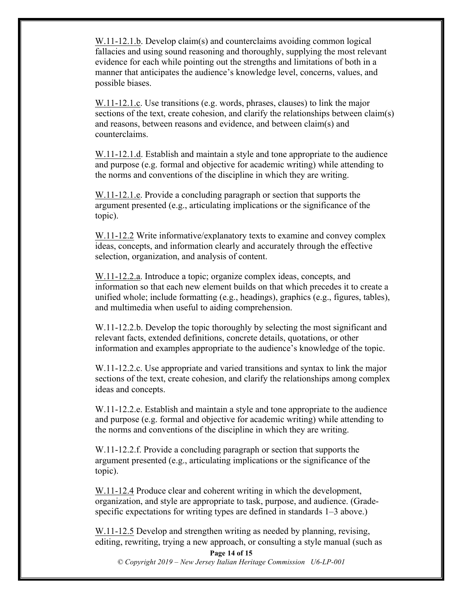W.11-12.1.b. Develop claim(s) and counterclaims avoiding common logical fallacies and using sound reasoning and thoroughly, supplying the most relevant evidence for each while pointing out the strengths and limitations of both in a manner that anticipates the audience's knowledge level, concerns, values, and possible biases.

W.11-12.1.c. Use transitions (e.g. words, phrases, clauses) to link the major sections of the text, create cohesion, and clarify the relationships between claim(s) and reasons, between reasons and evidence, and between claim(s) and counterclaims.

W.11-12.1.d. Establish and maintain a style and tone appropriate to the audience and purpose (e.g. formal and objective for academic writing) while attending to the norms and conventions of the discipline in which they are writing.

W.11-12.1.e. Provide a concluding paragraph or section that supports the argument presented (e.g., articulating implications or the significance of the topic).

W.11-12.2 Write informative/explanatory texts to examine and convey complex ideas, concepts, and information clearly and accurately through the effective selection, organization, and analysis of content.

W.11-12.2.a. Introduce a topic; organize complex ideas, concepts, and information so that each new element builds on that which precedes it to create a unified whole; include formatting (e.g., headings), graphics (e.g., figures, tables), and multimedia when useful to aiding comprehension.

W.11-12.2.b. Develop the topic thoroughly by selecting the most significant and relevant facts, extended definitions, concrete details, quotations, or other information and examples appropriate to the audience's knowledge of the topic.

W.11-12.2.c. Use appropriate and varied transitions and syntax to link the major sections of the text, create cohesion, and clarify the relationships among complex ideas and concepts.

W.11-12.2.e. Establish and maintain a style and tone appropriate to the audience and purpose (e.g. formal and objective for academic writing) while attending to the norms and conventions of the discipline in which they are writing.

W.11-12.2.f. Provide a concluding paragraph or section that supports the argument presented (e.g., articulating implications or the significance of the topic).

W.11-12.4 Produce clear and coherent writing in which the development, organization, and style are appropriate to task, purpose, and audience. (Gradespecific expectations for writing types are defined in standards  $1-3$  above.)

W.11-12.5 Develop and strengthen writing as needed by planning, revising, editing, rewriting, trying a new approach, or consulting a style manual (such as

**Page 14 of 15**

*© Copyright 2019 – New Jersey Italian Heritage Commission U6-LP-001*